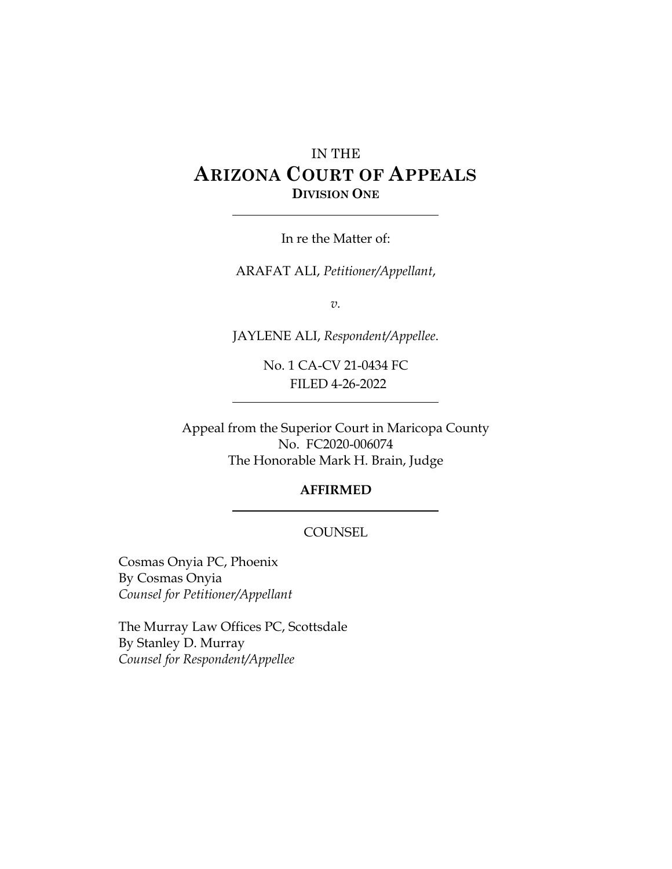# IN THE **ARIZONA COURT OF APPEALS DIVISION ONE**

In re the Matter of:

ARAFAT ALI, *Petitioner/Appellant*,

*v.*

JAYLENE ALI, *Respondent/Appellee*.

No. 1 CA-CV 21-0434 FC FILED 4-26-2022

Appeal from the Superior Court in Maricopa County No. FC2020-006074 The Honorable Mark H. Brain, Judge

#### **AFFIRMED**

#### **COUNSEL**

Cosmas Onyia PC, Phoenix By Cosmas Onyia *Counsel for Petitioner/Appellant*

The Murray Law Offices PC, Scottsdale By Stanley D. Murray *Counsel for Respondent/Appellee*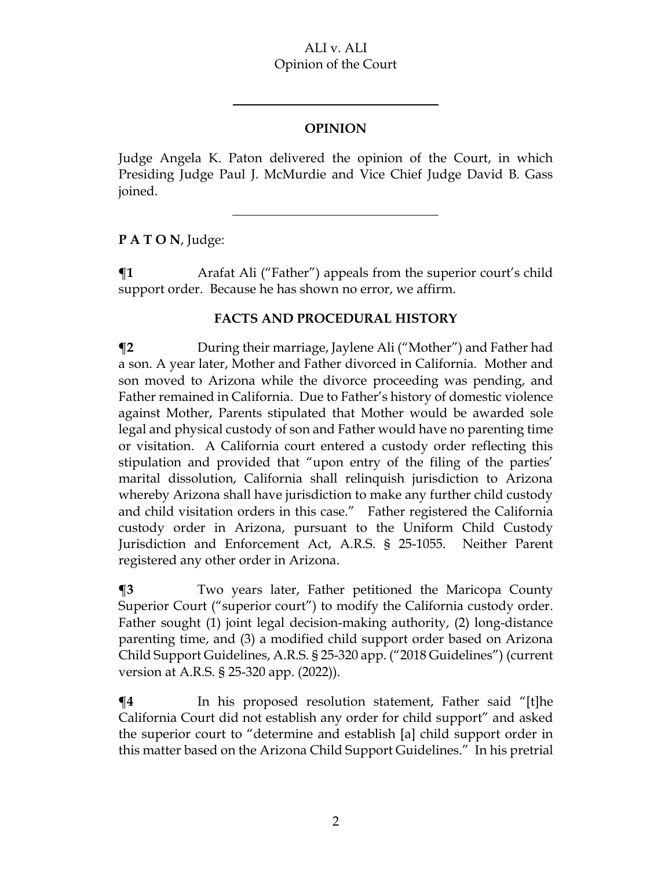### ALI v. ALI Opinion of the Court

## **OPINION**

Judge Angela K. Paton delivered the opinion of the Court, in which Presiding Judge Paul J. McMurdie and Vice Chief Judge David B. Gass joined.

**P A T O N**, Judge:

 $\P$ **1** Arafat Ali ("Father") appeals from the superior court's child support order. Because he has shown no error, we affirm.

## **FACTS AND PROCEDURAL HISTORY**

**¶2** During their marriage, Jaylene Ali ("Mother") and Father had a son. A year later, Mother and Father divorced in California. Mother and son moved to Arizona while the divorce proceeding was pending, and Father remained in California. Due to Father's history of domestic violence against Mother, Parents stipulated that Mother would be awarded sole legal and physical custody of son and Father would have no parenting time or visitation. A California court entered a custody order reflecting this stipulation and provided that "upon entry of the filing of the parties' marital dissolution, California shall relinquish jurisdiction to Arizona whereby Arizona shall have jurisdiction to make any further child custody and child visitation orders in this case." Father registered the California custody order in Arizona, pursuant to the Uniform Child Custody Jurisdiction and Enforcement Act, A.R.S. § 25-1055. Neither Parent registered any other order in Arizona.

**¶3** Two years later, Father petitioned the Maricopa County Superior Court ("superior court") to modify the California custody order. Father sought (1) joint legal decision-making authority, (2) long-distance parenting time, and (3) a modified child support order based on Arizona Child Support Guidelines, A.R.S. § 25-320 app. ("2018 Guidelines") (current version at A.R.S. § 25-320 app. (2022)).

 $\P$ **4** In his proposed resolution statement, Father said "[t]he California Court did not establish any order for child support" and asked the superior court to "determine and establish [a] child support order in this matter based on the Arizona Child Support Guidelines." In his pretrial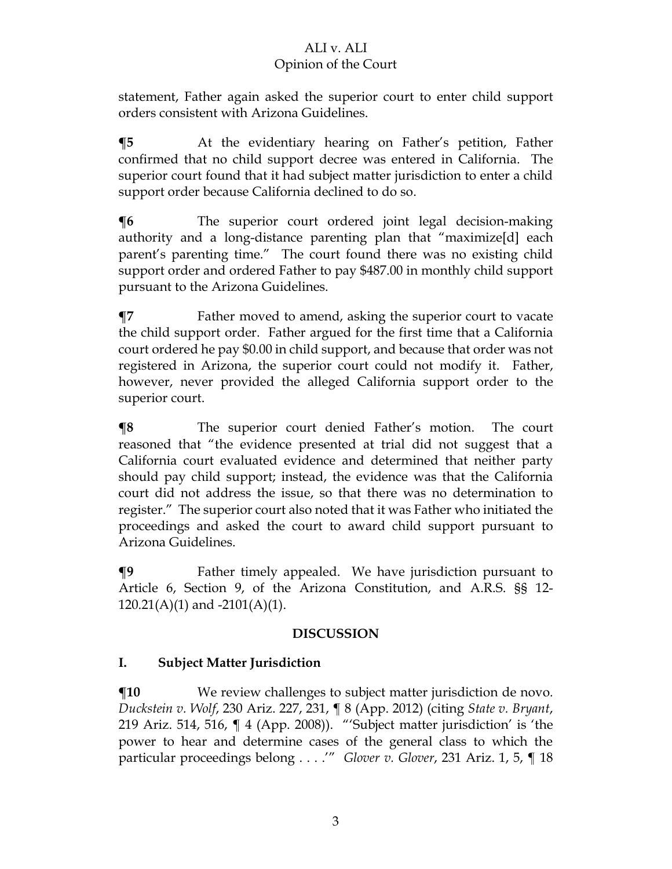# ALI v. ALI

## Opinion of the Court

statement, Father again asked the superior court to enter child support orders consistent with Arizona Guidelines.

**¶5** At the evidentiary hearing on Father's petition, Father confirmed that no child support decree was entered in California. The superior court found that it had subject matter jurisdiction to enter a child support order because California declined to do so.

**¶6** The superior court ordered joint legal decision-making authority and a long-distance parenting plan that "maximize[d] each parent's parenting time." The court found there was no existing child support order and ordered Father to pay \$487.00 in monthly child support pursuant to the Arizona Guidelines.

**¶7** Father moved to amend, asking the superior court to vacate the child support order. Father argued for the first time that a California court ordered he pay \$0.00 in child support, and because that order was not registered in Arizona, the superior court could not modify it. Father, however, never provided the alleged California support order to the superior court.

**¶8** The superior court denied Father's motion. The court reasoned that "the evidence presented at trial did not suggest that a California court evaluated evidence and determined that neither party should pay child support; instead, the evidence was that the California court did not address the issue, so that there was no determination to register." The superior court also noted that it was Father who initiated the proceedings and asked the court to award child support pursuant to Arizona Guidelines.

**¶9** Father timely appealed. We have jurisdiction pursuant to Article 6, Section 9, of the Arizona Constitution, and A.R.S. §§ 12-  $120.21(A)(1)$  and  $-2101(A)(1)$ .

## **DISCUSSION**

## **I. Subject Matter Jurisdiction**

**¶10** We review challenges to subject matter jurisdiction de novo*. Duckstein v. Wolf*, 230 Ariz. 227, 231, ¶ 8 (App. 2012) (citing *State v. Bryant*, 219 Ariz. 514, 516, ¶ 4 (App. 2008)). "'Subject matter jurisdiction' is 'the power to hear and determine cases of the general class to which the particular proceedings belong . . . .'" *Glover v. Glover*, 231 Ariz. 1, 5, ¶ 18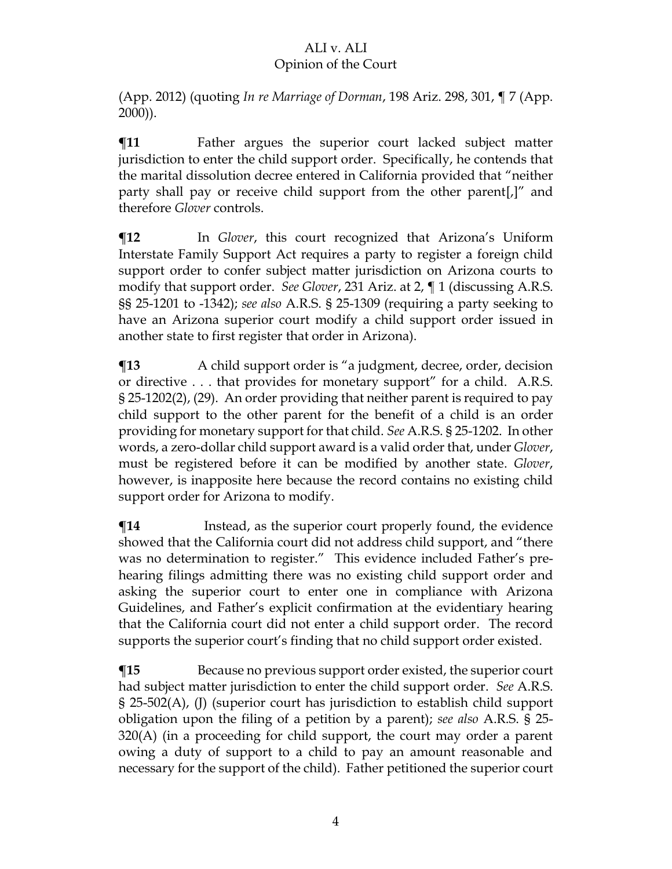# ALI v. ALI

## Opinion of the Court

(App. 2012) (quoting *In re Marriage of Dorman*, 198 Ariz. 298, 301, ¶ 7 (App. 2000)).

**¶11** Father argues the superior court lacked subject matter jurisdiction to enter the child support order. Specifically, he contends that the marital dissolution decree entered in California provided that "neither party shall pay or receive child support from the other parent[,]" and therefore *Glover* controls.

**¶12** In *Glover*, this court recognized that Arizona's Uniform Interstate Family Support Act requires a party to register a foreign child support order to confer subject matter jurisdiction on Arizona courts to modify that support order. *See Glover*, 231 Ariz. at 2, ¶ 1 (discussing A.R.S. §§ 25-1201 to -1342); *see also* A.R.S. § 25-1309 (requiring a party seeking to have an Arizona superior court modify a child support order issued in another state to first register that order in Arizona).

 $\P$ **13** A child support order is "a judgment, decree, order, decision or directive . . . that provides for monetary support" for a child. A.R.S. § 25-1202(2), (29). An order providing that neither parent is required to pay child support to the other parent for the benefit of a child is an order providing for monetary support for that child. *See* A.R.S. § 25-1202. In other words, a zero-dollar child support award is a valid order that, under *Glover*, must be registered before it can be modified by another state. *Glover*, however, is inapposite here because the record contains no existing child support order for Arizona to modify.

 $\P$ **14** Instead, as the superior court properly found, the evidence showed that the California court did not address child support, and "there was no determination to register." This evidence included Father's prehearing filings admitting there was no existing child support order and asking the superior court to enter one in compliance with Arizona Guidelines, and Father's explicit confirmation at the evidentiary hearing that the California court did not enter a child support order.The record supports the superior court's finding that no child support order existed.

**¶15** Because no previous support order existed, the superior court had subject matter jurisdiction to enter the child support order. *See* A.R.S. § 25-502(A), (J) (superior court has jurisdiction to establish child support obligation upon the filing of a petition by a parent); *see also* A.R.S. § 25- 320(A) (in a proceeding for child support, the court may order a parent owing a duty of support to a child to pay an amount reasonable and necessary for the support of the child). Father petitioned the superior court